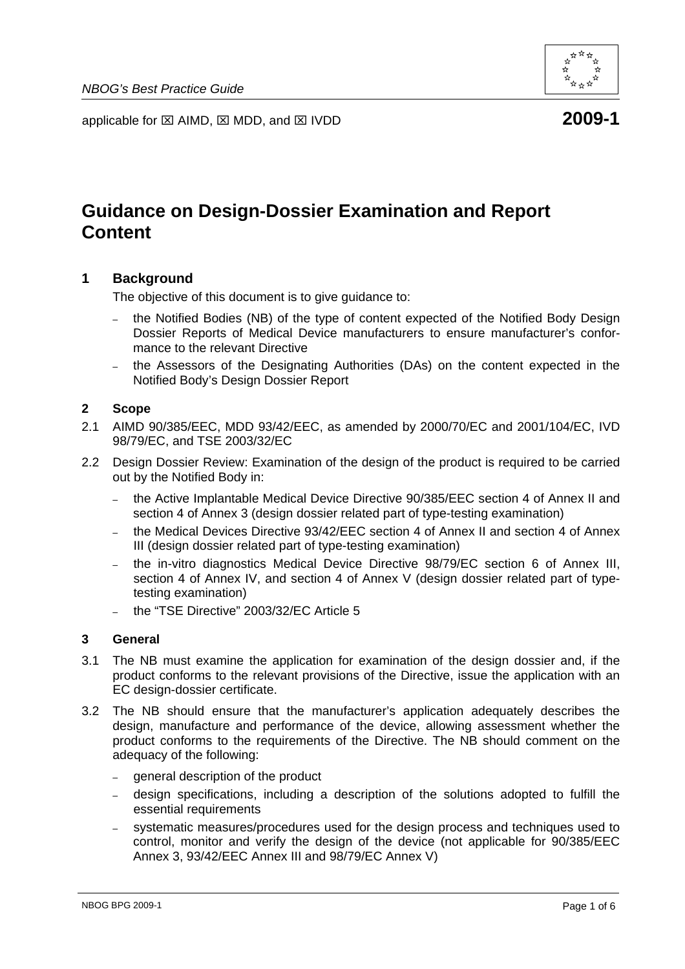

applicable for ⊠ AIMD, ⊠ MDD, and ⊠ IVDD **2009-1** 

# **Guidance on Design-Dossier Examination and Report Content**

# **1 Background**

The objective of this document is to give guidance to:

- the Notified Bodies (NB) of the type of content expected of the Notified Body Design Dossier Reports of Medical Device manufacturers to ensure manufacturer's conformance to the relevant Directive
- the Assessors of the Designating Authorities (DAs) on the content expected in the Notified Body's Design Dossier Report

## **2 Scope**

- 2.1 AIMD 90/385/EEC, MDD 93/42/EEC, as amended by 2000/70/EC and 2001/104/EC, IVD 98/79/EC, and TSE 2003/32/EC
- 2.2 Design Dossier Review: Examination of the design of the product is required to be carried out by the Notified Body in:
	- the Active Implantable Medical Device Directive 90/385/EEC section 4 of Annex II and section 4 of Annex 3 (design dossier related part of type-testing examination)
	- the Medical Devices Directive 93/42/EEC section 4 of Annex II and section 4 of Annex III (design dossier related part of type-testing examination)
	- the in-vitro diagnostics Medical Device Directive 98/79/EC section 6 of Annex III, section 4 of Annex IV, and section 4 of Annex V (design dossier related part of typetesting examination)
	- the "TSE Directive" 2003/32/EC Article 5

# **3 General**

- 3.1 The NB must examine the application for examination of the design dossier and, if the product conforms to the relevant provisions of the Directive, issue the application with an EC design-dossier certificate.
- 3.2 The NB should ensure that the manufacturer's application adequately describes the design, manufacture and performance of the device, allowing assessment whether the product conforms to the requirements of the Directive. The NB should comment on the adequacy of the following:
	- general description of the product
	- design specifications, including a description of the solutions adopted to fulfill the essential requirements
	- systematic measures/procedures used for the design process and techniques used to control, monitor and verify the design of the device (not applicable for 90/385/EEC Annex 3, 93/42/EEC Annex III and 98/79/EC Annex V)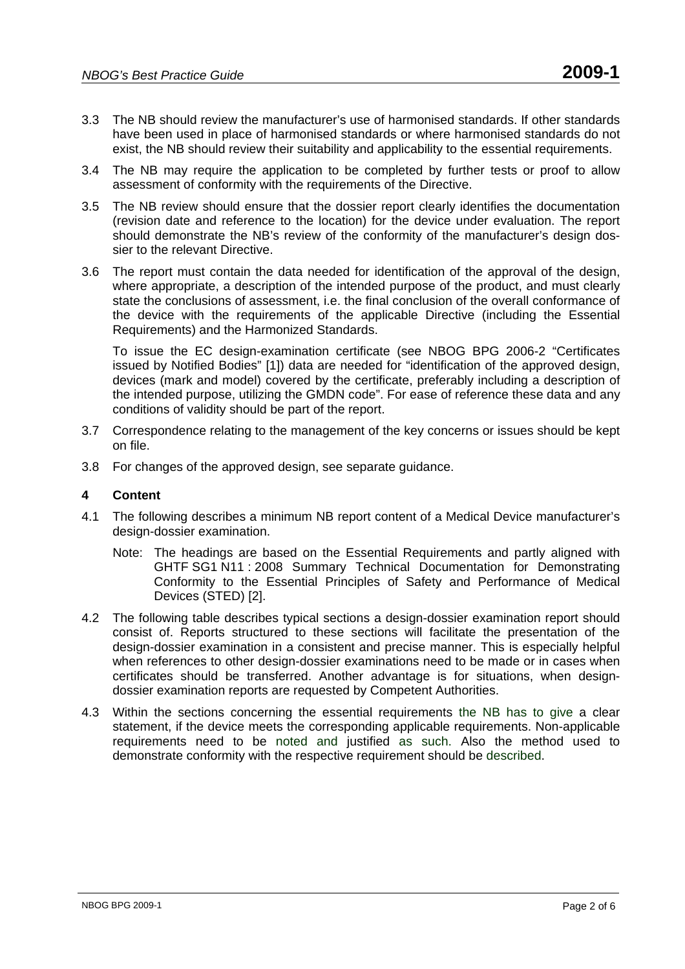- 3.3 The NB should review the manufacturer's use of harmonised standards. If other standards have been used in place of harmonised standards or where harmonised standards do not exist, the NB should review their suitability and applicability to the essential requirements.
- 3.4 The NB may require the application to be completed by further tests or proof to allow assessment of conformity with the requirements of the Directive.
- 3.5 The NB review should ensure that the dossier report clearly identifies the documentation (revision date and reference to the location) for the device under evaluation. The report should demonstrate the NB's review of the conformity of the manufacturer's design dossier to the relevant Directive.
- 3.6 The report must contain the data needed for identification of the approval of the design, where appropriate, a description of the intended purpose of the product, and must clearly state the conclusions of assessment, i.e. the final conclusion of the overall conformance of the device with the requirements of the applicable Directive (including the Essential Requirements) and the Harmonized Standards.

To issue the EC design-examination certificate (see NBOG BPG 2006-2 "Certificates issued by Notified Bodies" [1]) data are needed for "identification of the approved design, devices (mark and model) covered by the certificate, preferably including a description of the intended purpose, utilizing the GMDN code". For ease of reference these data and any conditions of validity should be part of the report.

- 3.7 Correspondence relating to the management of the key concerns or issues should be kept on file.
- 3.8 For changes of the approved design, see separate guidance.

# **4 Content**

- 4.1 The following describes a minimum NB report content of a Medical Device manufacturer's design-dossier examination.
	- Note: The headings are based on the Essential Requirements and partly aligned with GHTF SG1 N11 : 2008 Summary Technical Documentation for Demonstrating Conformity to the Essential Principles of Safety and Performance of Medical Devices (STED) [2].
- 4.2 The following table describes typical sections a design-dossier examination report should consist of. Reports structured to these sections will facilitate the presentation of the design-dossier examination in a consistent and precise manner. This is especially helpful when references to other design-dossier examinations need to be made or in cases when certificates should be transferred. Another advantage is for situations, when designdossier examination reports are requested by Competent Authorities.
- 4.3 Within the sections concerning the essential requirements the NB has to give a clear statement, if the device meets the corresponding applicable requirements. Non-applicable requirements need to be noted and justified as such. Also the method used to demonstrate conformity with the respective requirement should be described.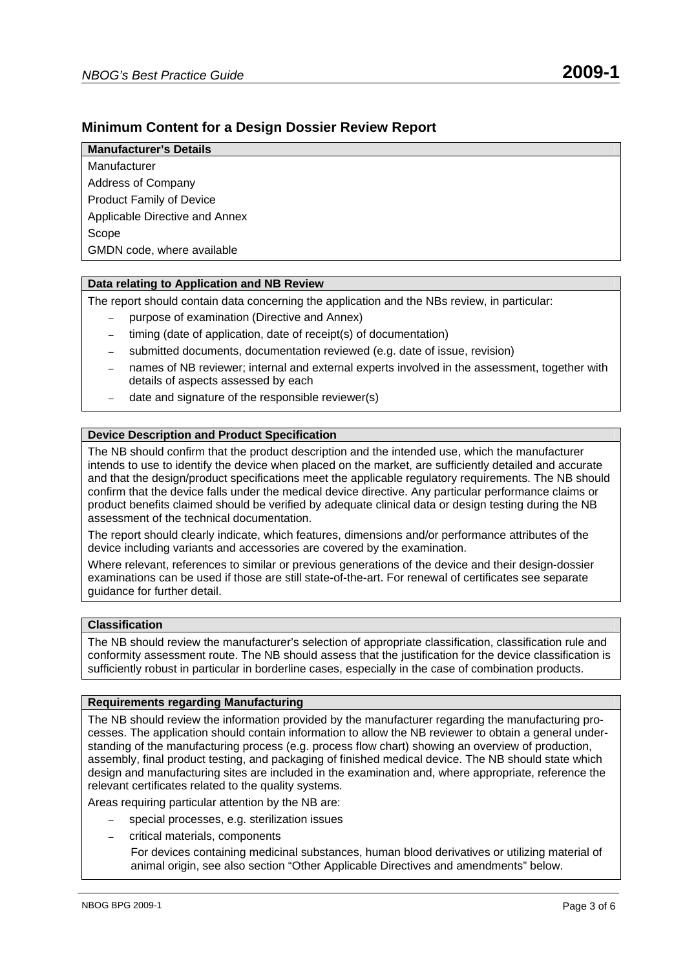# **Minimum Content for a Design Dossier Review Report**

#### **Manufacturer's Details**

Manufacturer Address of Company Product Family of Device Applicable Directive and Annex Scope GMDN code, where available

#### **Data relating to Application and NB Review**

The report should contain data concerning the application and the NBs review, in particular:

- purpose of examination (Directive and Annex)
- timing (date of application, date of receipt(s) of documentation)
- submitted documents, documentation reviewed (e.g. date of issue, revision)
- names of NB reviewer; internal and external experts involved in the assessment, together with details of aspects assessed by each
- date and signature of the responsible reviewer(s)

#### **Device Description and Product Specification**

The NB should confirm that the product description and the intended use, which the manufacturer intends to use to identify the device when placed on the market, are sufficiently detailed and accurate and that the design/product specifications meet the applicable regulatory requirements. The NB should confirm that the device falls under the medical device directive. Any particular performance claims or product benefits claimed should be verified by adequate clinical data or design testing during the NB assessment of the technical documentation.

The report should clearly indicate, which features, dimensions and/or performance attributes of the device including variants and accessories are covered by the examination.

Where relevant, references to similar or previous generations of the device and their design-dossier examinations can be used if those are still state-of-the-art. For renewal of certificates see separate guidance for further detail.

## **Classification**

The NB should review the manufacturer's selection of appropriate classification, classification rule and conformity assessment route. The NB should assess that the justification for the device classification is sufficiently robust in particular in borderline cases, especially in the case of combination products.

#### **Requirements regarding Manufacturing**

The NB should review the information provided by the manufacturer regarding the manufacturing processes. The application should contain information to allow the NB reviewer to obtain a general understanding of the manufacturing process (e.g. process flow chart) showing an overview of production, assembly, final product testing, and packaging of finished medical device. The NB should state which design and manufacturing sites are included in the examination and, where appropriate, reference the relevant certificates related to the quality systems.

Areas requiring particular attention by the NB are:

- special processes, e.g. sterilization issues
- critical materials, components

For devices containing medicinal substances, human blood derivatives or utilizing material of animal origin, see also section "Other Applicable Directives and amendments" below.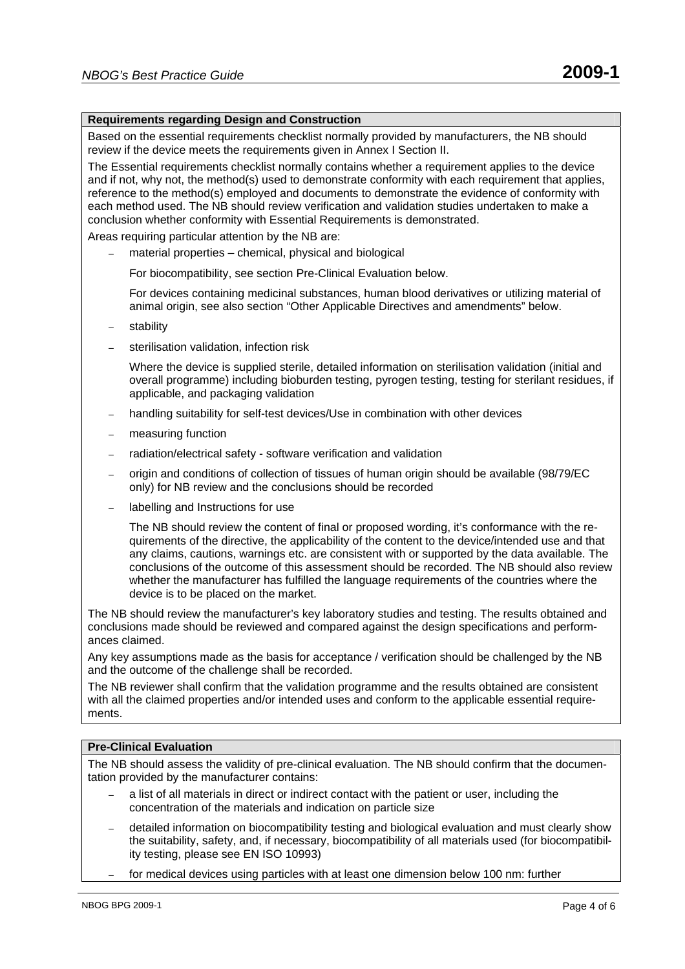#### **Requirements regarding Design and Construction**

Based on the essential requirements checklist normally provided by manufacturers, the NB should review if the device meets the requirements given in Annex I Section II.

The Essential requirements checklist normally contains whether a requirement applies to the device and if not, why not, the method(s) used to demonstrate conformity with each requirement that applies, reference to the method(s) employed and documents to demonstrate the evidence of conformity with each method used. The NB should review verification and validation studies undertaken to make a conclusion whether conformity with Essential Requirements is demonstrated.

Areas requiring particular attention by the NB are:

– material properties – chemical, physical and biological

For biocompatibility, see section Pre-Clinical Evaluation below.

For devices containing medicinal substances, human blood derivatives or utilizing material of animal origin, see also section "Other Applicable Directives and amendments" below.

- stability
- sterilisation validation, infection risk

Where the device is supplied sterile, detailed information on sterilisation validation (initial and overall programme) including bioburden testing, pyrogen testing, testing for sterilant residues, if applicable, and packaging validation

- handling suitability for self-test devices/Use in combination with other devices
- measuring function
- radiation/electrical safety software verification and validation
- origin and conditions of collection of tissues of human origin should be available (98/79/EC only) for NB review and the conclusions should be recorded
- labelling and Instructions for use

The NB should review the content of final or proposed wording, it's conformance with the requirements of the directive, the applicability of the content to the device/intended use and that any claims, cautions, warnings etc. are consistent with or supported by the data available. The conclusions of the outcome of this assessment should be recorded. The NB should also review whether the manufacturer has fulfilled the language requirements of the countries where the device is to be placed on the market.

The NB should review the manufacturer's key laboratory studies and testing. The results obtained and conclusions made should be reviewed and compared against the design specifications and performances claimed.

Any key assumptions made as the basis for acceptance / verification should be challenged by the NB and the outcome of the challenge shall be recorded.

The NB reviewer shall confirm that the validation programme and the results obtained are consistent with all the claimed properties and/or intended uses and conform to the applicable essential requirements.

#### **Pre-Clinical Evaluation**

The NB should assess the validity of pre-clinical evaluation. The NB should confirm that the documentation provided by the manufacturer contains:

- a list of all materials in direct or indirect contact with the patient or user, including the concentration of the materials and indication on particle size
- detailed information on biocompatibility testing and biological evaluation and must clearly show the suitability, safety, and, if necessary, biocompatibility of all materials used (for biocompatibility testing, please see EN ISO 10993)
- for medical devices using particles with at least one dimension below 100 nm: further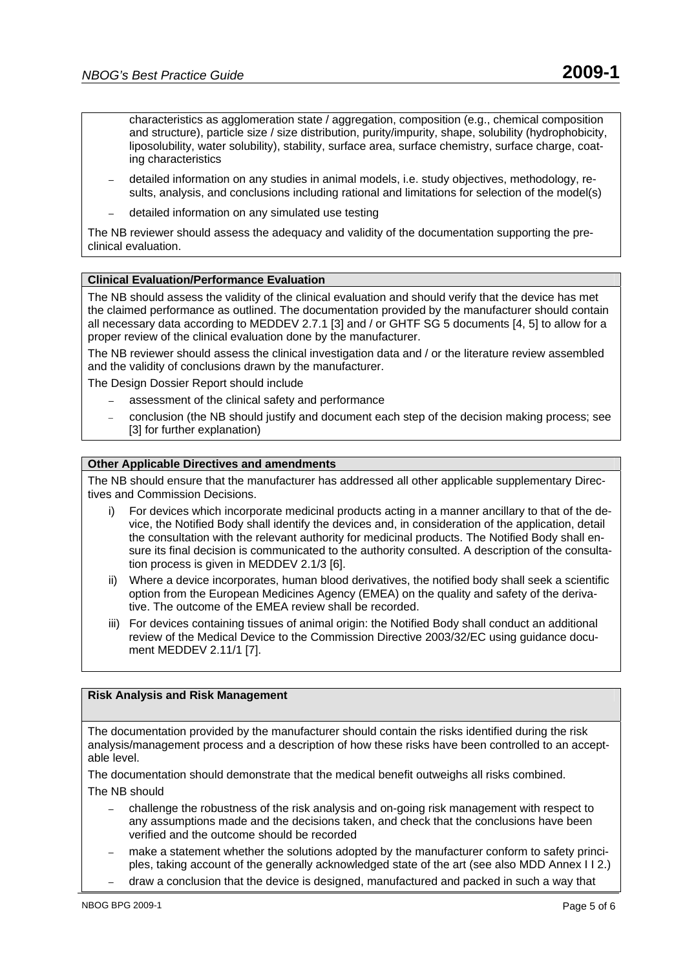characteristics as agglomeration state / aggregation, composition (e.g., chemical composition and structure), particle size / size distribution, purity/impurity, shape, solubility (hydrophobicity, liposolubility, water solubility), stability, surface area, surface chemistry, surface charge, coating characteristics

- detailed information on any studies in animal models, i.e. study objectives, methodology, results, analysis, and conclusions including rational and limitations for selection of the model(s)
- detailed information on any simulated use testing

The NB reviewer should assess the adequacy and validity of the documentation supporting the preclinical evaluation.

#### **Clinical Evaluation/Performance Evaluation**

The NB should assess the validity of the clinical evaluation and should verify that the device has met the claimed performance as outlined. The documentation provided by the manufacturer should contain all necessary data according to MEDDEV 2.7.1 [3] and / or GHTF SG 5 documents [4, 5] to allow for a proper review of the clinical evaluation done by the manufacturer.

The NB reviewer should assess the clinical investigation data and / or the literature review assembled and the validity of conclusions drawn by the manufacturer.

- The Design Dossier Report should include
	- assessment of the clinical safety and performance
	- conclusion (the NB should justify and document each step of the decision making process; see [3] for further explanation)

#### **Other Applicable Directives and amendments**

The NB should ensure that the manufacturer has addressed all other applicable supplementary Directives and Commission Decisions.

- For devices which incorporate medicinal products acting in a manner ancillary to that of the device, the Notified Body shall identify the devices and, in consideration of the application, detail the consultation with the relevant authority for medicinal products. The Notified Body shall ensure its final decision is communicated to the authority consulted. A description of the consultation process is given in MEDDEV 2.1/3 [6].
- ii) Where a device incorporates, human blood derivatives, the notified body shall seek a scientific option from the European Medicines Agency (EMEA) on the quality and safety of the derivative. The outcome of the EMEA review shall be recorded.
- iii) For devices containing tissues of animal origin: the Notified Body shall conduct an additional review of the Medical Device to the Commission Directive 2003/32/EC using guidance document MEDDEV 2.11/1 [7].

#### **Risk Analysis and Risk Management**

The documentation provided by the manufacturer should contain the risks identified during the risk analysis/management process and a description of how these risks have been controlled to an acceptable level.

The documentation should demonstrate that the medical benefit outweighs all risks combined. The NB should

- challenge the robustness of the risk analysis and on-going risk management with respect to any assumptions made and the decisions taken, and check that the conclusions have been verified and the outcome should be recorded
- make a statement whether the solutions adopted by the manufacturer conform to safety principles, taking account of the generally acknowledged state of the art (see also MDD Annex I I 2.)
- draw a conclusion that the device is designed, manufactured and packed in such a way that